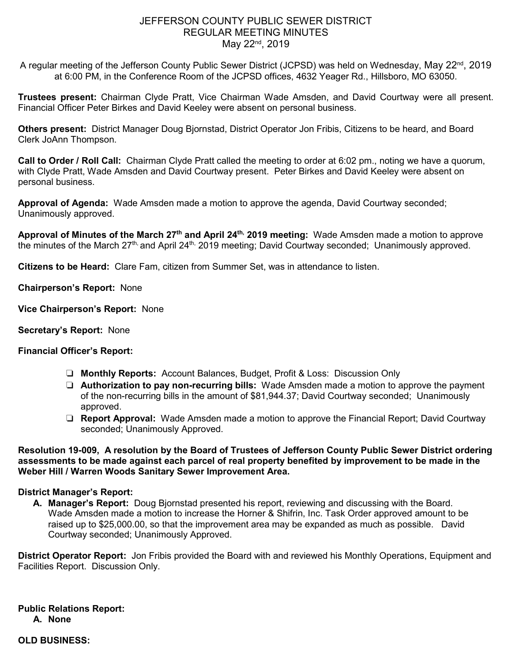# JEFFERSON COUNTY PUBLIC SEWER DISTRICT REGULAR MEETING MINUTES May 22<sup>nd</sup>, 2019

A regular meeting of the Jefferson County Public Sewer District (JCPSD) was held on Wednesday, May 22<sup>nd</sup>, 2019 at 6:00 PM, in the Conference Room of the JCPSD offices, 4632 Yeager Rd., Hillsboro, MO 63050.

**Trustees present:** Chairman Clyde Pratt, Vice Chairman Wade Amsden, and David Courtway were all present. Financial Officer Peter Birkes and David Keeley were absent on personal business.

**Others present:** District Manager Doug Bjornstad, District Operator Jon Fribis, Citizens to be heard, and Board Clerk JoAnn Thompson.

**Call to Order / Roll Call:** Chairman Clyde Pratt called the meeting to order at 6:02 pm., noting we have a quorum, with Clyde Pratt, Wade Amsden and David Courtway present. Peter Birkes and David Keeley were absent on personal business.

**Approval of Agenda:** Wade Amsden made a motion to approve the agenda, David Courtway seconded; Unanimously approved.

**Approval of Minutes of the March 27th and April 24th, 2019 meeting:** Wade Amsden made a motion to approve the minutes of the March 27<sup>th,</sup> and April 24<sup>th,</sup> 2019 meeting; David Courtway seconded; Unanimously approved.

**Citizens to be Heard:** Clare Fam, citizen from Summer Set, was in attendance to listen.

**Chairperson's Report:** None

- **Vice Chairperson's Report:** None
- **Secretary's Report:** None

## **Financial Officer's Report:**

- ❏ **Monthly Reports:** Account Balances, Budget, Profit & Loss: Discussion Only
- ❏ **Authorization to pay non-recurring bills:** Wade Amsden made a motion to approve the payment of the non-recurring bills in the amount of \$81,944.37; David Courtway seconded; Unanimously approved.
- ❏ **Report Approval:** Wade Amsden made a motion to approve the Financial Report; David Courtway seconded; Unanimously Approved.

**Resolution 19-009, A resolution by the Board of Trustees of Jefferson County Public Sewer District ordering assessments to be made against each parcel of real property benefited by improvement to be made in the Weber Hill / Warren Woods Sanitary Sewer Improvement Area.** 

## **District Manager's Report:**

**A. Manager's Report:** Doug Bjornstad presented his report, reviewing and discussing with the Board. Wade Amsden made a motion to increase the Horner & Shifrin, Inc. Task Order approved amount to be raised up to \$25,000.00, so that the improvement area may be expanded as much as possible. David Courtway seconded; Unanimously Approved.

**District Operator Report:** Jon Fribis provided the Board with and reviewed his Monthly Operations, Equipment and Facilities Report. Discussion Only.

**Public Relations Report: A. None**